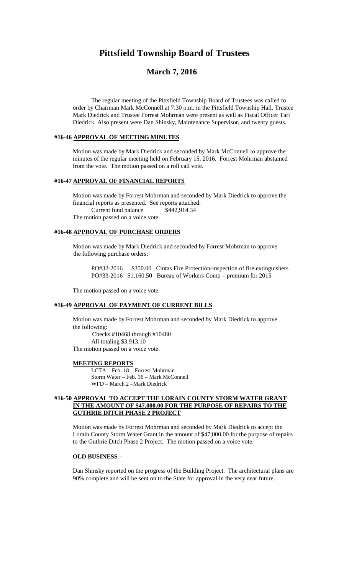# **Pittsfield Township Board of Trustees**

# **March 7, 2016**

The regular meeting of the Pittsfield Township Board of Trustees was called to order by Chairman Mark McConnell at 7:30 p.m. in the Pittsfield Township Hall. Trustee Mark Diedrick and Trustee Forrest Mohrman were present as well as Fiscal Officer Tari Diedrick. Also present were Dan Shinsky, Maintenance Supervisor, and twenty guests.

### **#16-46 APPROVAL OF MEETING MINUTES**

Motion was made by Mark Diedrick and seconded by Mark McConnell to approve the minutes of the regular meeting held on February 15, 2016. Forrest Mohrman abstained from the vote. The motion passed on a roll call vote.

### **#16-47 APPROVAL OF FINANCIAL REPORTS**

Motion was made by Forrest Mohrman and seconded by Mark Diedrick to approve the financial reports as presented. See reports attached. Current fund balance \$442,914.34 The motion passed on a voice vote.

### **#16-48 APPROVAL OF PURCHASE ORDERS**

Motion was made by Mark Diedrick and seconded by Forrest Mohrman to approve the following purchase orders:

PO#32-2016 \$350.00 Cintas Fire Protection-inspection of fire extinguishers PO#33-2016 \$1,160.50 Bureau of Workers Comp – premium for 2015

The motion passed on a voice vote.

### **#16-49 APPROVAL OF PAYMENT OF CURRENT BILLS**

Motion was made by Forrest Mohrman and seconded by Mark Diedrick to approve the following:

Checks #10468 through #10480 All totaling \$3,913.10 The motion passed on a voice vote.

#### **MEETING REPORTS**

LCTA – Feb. 18 – Forrest Mohrman Storm Water – Feb. 16 – Mark McConnell WFD – March 2 –Mark Diedrick

#### **#16-50 APPROVAL TO ACCEPT THE LORAIN COUNTY STORM WATER GRANT IN THE AMOUNT OF \$47,000.00 FOR THE PURPOSE OF REPAIRS TO THE GUTHRIE DITCH PHASE 2 PROJECT**

Motion was made by Forrest Mohrman and seconded by Mark Diedrick to accept the Lorain County Storm Water Grant in the amount of \$47,000.00 for the purpose of repairs to the Guthrie Ditch Phase 2 Project. The motion passed on a voice vote.

### **OLD BUSINESS –**

Dan Shinsky reported on the progress of the Building Project. The architectural plans are 90% complete and will be sent on to the State for approval in the very near future.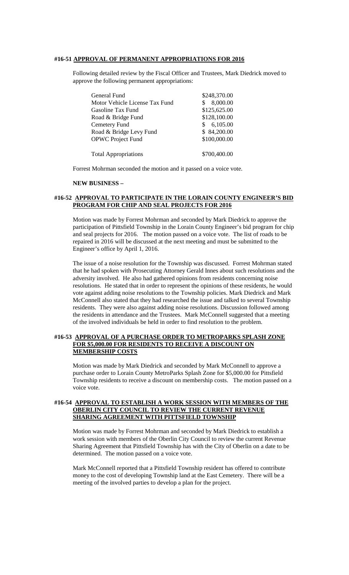### **#16-51 APPROVAL OF PERMANENT APPROPRIATIONS FOR 2016**

Following detailed review by the Fiscal Officer and Trustees, Mark Diedrick moved to approve the following permanent appropriations:

| General Fund                   | \$248,370.00   |
|--------------------------------|----------------|
| Motor Vehicle License Tax Fund | 8,000.00       |
| Gasoline Tax Fund              | \$125,625.00   |
| Road & Bridge Fund             | \$128,100.00   |
| Cemetery Fund                  | 6,105.00<br>S. |
| Road & Bridge Levy Fund        | \$84,200.00    |
| <b>OPWC</b> Project Fund       | \$100,000.00   |
| <b>Total Appropriations</b>    | \$700,400.00   |

Forrest Mohrman seconded the motion and it passed on a voice vote.

#### **NEW BUSINESS –**

### **#16-52 APPROVAL TO PARTICIPATE IN THE LORAIN COUNTY ENGINEER'S BID PROGRAM FOR CHIP AND SEAL PROJECTS FOR 2016**

Motion was made by Forrest Mohrman and seconded by Mark Diedrick to approve the participation of Pittsfield Township in the Lorain County Engineer's bid program for chip and seal projects for 2016. The motion passed on a voice vote. The list of roads to be repaired in 2016 will be discussed at the next meeting and must be submitted to the Engineer's office by April 1, 2016.

The issue of a noise resolution for the Township was discussed. Forrest Mohrman stated that he had spoken with Prosecuting Attorney Gerald Innes about such resolutions and the adversity involved. He also had gathered opinions from residents concerning noise resolutions. He stated that in order to represent the opinions of these residents, he would vote against adding noise resolutions to the Township policies. Mark Diedrick and Mark McConnell also stated that they had researched the issue and talked to several Township residents. They were also against adding noise resolutions. Discussion followed among the residents in attendance and the Trustees. Mark McConnell suggested that a meeting of the involved individuals be held in order to find resolution to the problem.

#### **#16-53 APPROVAL OF A PURCHASE ORDER TO METROPARKS SPLASH ZONE FOR \$5,000.00 FOR RESIDENTS TO RECEIVE A DISCOUNT ON MEMBERSHIP COSTS**

Motion was made by Mark Diedrick and seconded by Mark McConnell to approve a purchase order to Lorain County MetroParks Splash Zone for \$5,000.00 for Pittsfield Township residents to receive a discount on membership costs. The motion passed on a voice vote.

### **#16-54 APPROVAL TO ESTABLISH A WORK SESSION WITH MEMBERS OF THE OBERLIN CITY COUNCIL TO REVIEW THE CURRENT REVENUE SHARING AGREEMENT WITH PITTSFIELD TOWNSHIP**

Motion was made by Forrest Mohrman and seconded by Mark Diedrick to establish a work session with members of the Oberlin City Council to review the current Revenue Sharing Agreement that Pittsfield Township has with the City of Oberlin on a date to be determined. The motion passed on a voice vote.

Mark McConnell reported that a Pittsfield Township resident has offered to contribute money to the cost of developing Township land at the East Cemetery. There will be a meeting of the involved parties to develop a plan for the project.